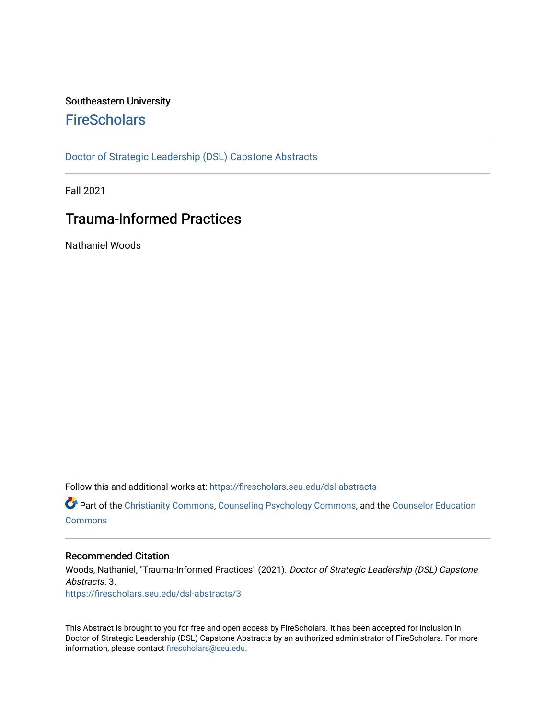## Southeastern University **FireScholars**

[Doctor of Strategic Leadership \(DSL\) Capstone Abstracts](https://firescholars.seu.edu/dsl-abstracts) 

Fall 2021

## Trauma-Informed Practices

Nathaniel Woods

Follow this and additional works at: [https://firescholars.seu.edu/dsl-abstracts](https://firescholars.seu.edu/dsl-abstracts?utm_source=firescholars.seu.edu%2Fdsl-abstracts%2F3&utm_medium=PDF&utm_campaign=PDFCoverPages) 

Part of the [Christianity Commons,](http://network.bepress.com/hgg/discipline/1181?utm_source=firescholars.seu.edu%2Fdsl-abstracts%2F3&utm_medium=PDF&utm_campaign=PDFCoverPages) [Counseling Psychology Commons](http://network.bepress.com/hgg/discipline/1044?utm_source=firescholars.seu.edu%2Fdsl-abstracts%2F3&utm_medium=PDF&utm_campaign=PDFCoverPages), and the [Counselor Education](http://network.bepress.com/hgg/discipline/1278?utm_source=firescholars.seu.edu%2Fdsl-abstracts%2F3&utm_medium=PDF&utm_campaign=PDFCoverPages) [Commons](http://network.bepress.com/hgg/discipline/1278?utm_source=firescholars.seu.edu%2Fdsl-abstracts%2F3&utm_medium=PDF&utm_campaign=PDFCoverPages)

## Recommended Citation

Woods, Nathaniel, "Trauma-Informed Practices" (2021). Doctor of Strategic Leadership (DSL) Capstone Abstracts. 3. [https://firescholars.seu.edu/dsl-abstracts/3](https://firescholars.seu.edu/dsl-abstracts/3?utm_source=firescholars.seu.edu%2Fdsl-abstracts%2F3&utm_medium=PDF&utm_campaign=PDFCoverPages) 

This Abstract is brought to you for free and open access by FireScholars. It has been accepted for inclusion in Doctor of Strategic Leadership (DSL) Capstone Abstracts by an authorized administrator of FireScholars. For more information, please contact [firescholars@seu.edu](mailto:firescholars@seu.edu).